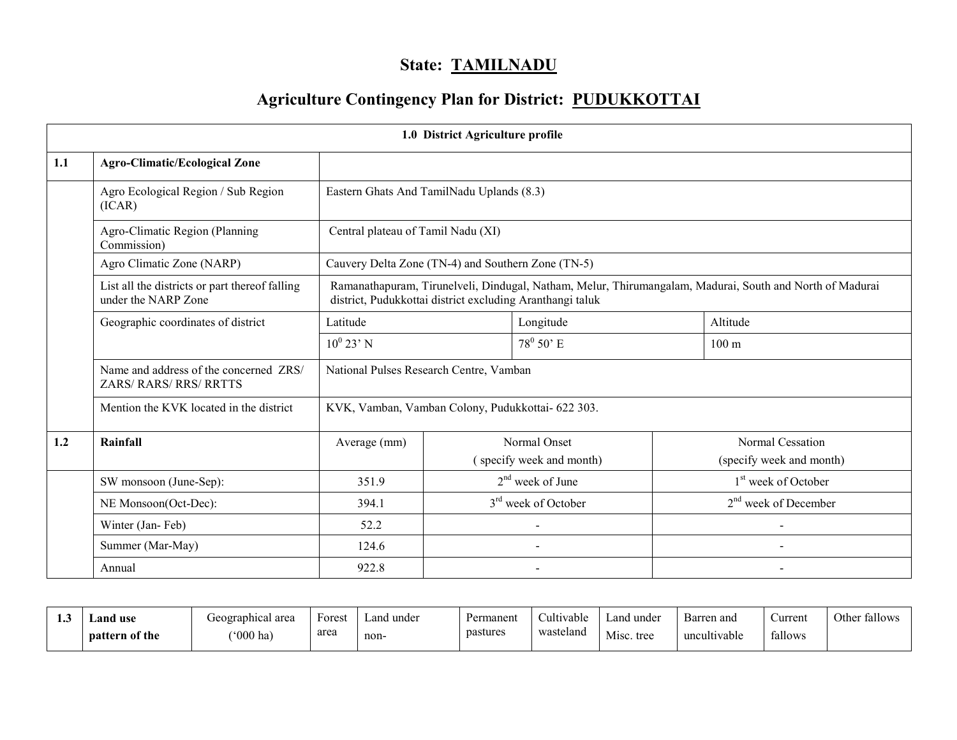## State: TAMILNADU

# Agriculture Contingency Plan for District: PUDUKKOTTAI

|     |                                                                       |                                                           | 1.0 District Agriculture profile |                                 |  |                                                                                                          |
|-----|-----------------------------------------------------------------------|-----------------------------------------------------------|----------------------------------|---------------------------------|--|----------------------------------------------------------------------------------------------------------|
| 1.1 | <b>Agro-Climatic/Ecological Zone</b>                                  |                                                           |                                  |                                 |  |                                                                                                          |
|     | Agro Ecological Region / Sub Region<br>(ICAR)                         | Eastern Ghats And TamilNadu Uplands (8.3)                 |                                  |                                 |  |                                                                                                          |
|     | Agro-Climatic Region (Planning<br>Commission)                         | Central plateau of Tamil Nadu (XI)                        |                                  |                                 |  |                                                                                                          |
|     | Agro Climatic Zone (NARP)                                             | Cauvery Delta Zone (TN-4) and Southern Zone (TN-5)        |                                  |                                 |  |                                                                                                          |
|     | List all the districts or part thereof falling<br>under the NARP Zone | district, Pudukkottai district excluding Aranthangi taluk |                                  |                                 |  | Ramanathapuram, Tirunelveli, Dindugal, Natham, Melur, Thirumangalam, Madurai, South and North of Madurai |
|     | Geographic coordinates of district                                    | Latitude                                                  |                                  | Longitude                       |  | Altitude                                                                                                 |
|     |                                                                       | $10^0 23' N$                                              |                                  | $78^0 50$ ' E                   |  | 100 <sub>m</sub>                                                                                         |
|     | Name and address of the concerned ZRS/<br>ZARS/RARS/RRS/RRTTS         | National Pulses Research Centre, Vamban                   |                                  |                                 |  |                                                                                                          |
|     | Mention the KVK located in the district                               | KVK, Vamban, Vamban Colony, Pudukkottai- 622 303.         |                                  |                                 |  |                                                                                                          |
| 1.2 | Rainfall                                                              | Average (mm)                                              |                                  | Normal Onset                    |  | Normal Cessation                                                                                         |
|     |                                                                       |                                                           |                                  | (specify week and month)        |  | (specify week and month)                                                                                 |
|     | SW monsoon (June-Sep):                                                | 351.9                                                     |                                  | $2nd$ week of June              |  | 1 <sup>st</sup> week of October                                                                          |
|     | NE Monsoon(Oct-Dec):                                                  | 394.1                                                     |                                  | 3 <sup>rd</sup> week of October |  | $2nd$ week of December                                                                                   |
|     | Winter (Jan-Feb)                                                      | 52.2                                                      |                                  |                                 |  |                                                                                                          |
|     | Summer (Mar-May)                                                      | 124.6                                                     |                                  |                                 |  |                                                                                                          |
|     | Annual                                                                | 922.8                                                     |                                  |                                 |  |                                                                                                          |

| <br>$\Delta$ and use | Geographical area                    | Forest | Land<br>under | Permanent | Cultivable | Land under | Barren and   | ∠urrent | 0.11<br>$\gamma_{\rm thor}$<br>tallows:<br>UULU. |
|----------------------|--------------------------------------|--------|---------------|-----------|------------|------------|--------------|---------|--------------------------------------------------|
| pattern of the       | $^{\prime\prime}000$ ha <sub>1</sub> | area   | non-          | pastures  | wasteland  | Misc. tree | uncultivable | fallows |                                                  |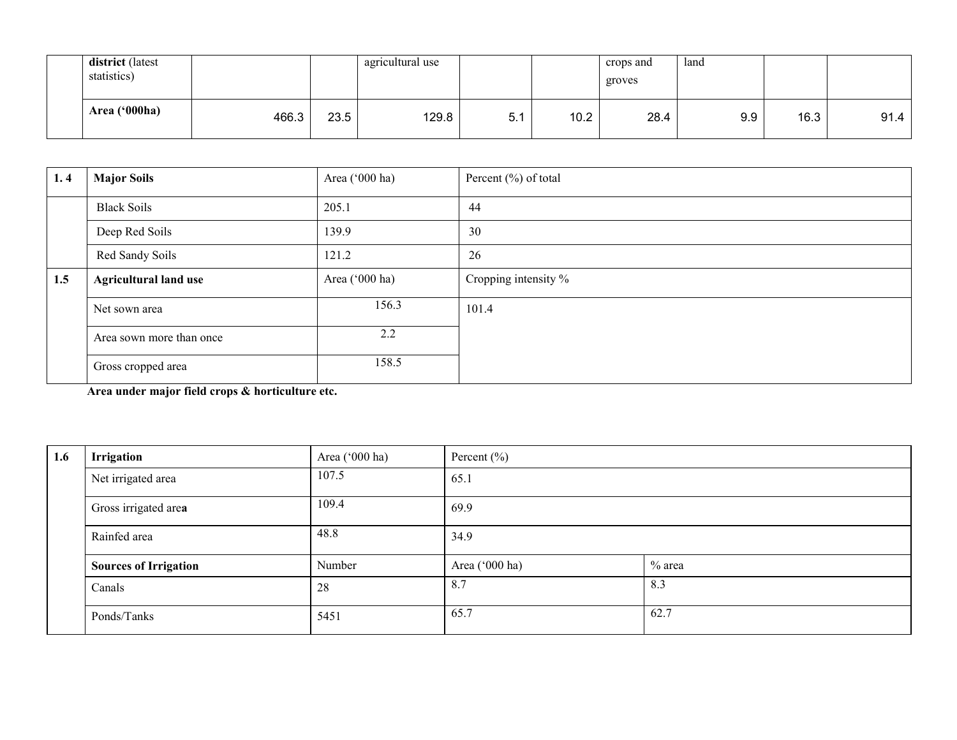| district (latest<br>statistics) |       |      | agricultural use |     |      | crops and<br>groves | land |      |      |
|---------------------------------|-------|------|------------------|-----|------|---------------------|------|------|------|
| (900ha)<br><b>Area</b> (        | 466.3 | 23.5 | 129.8            | 5.1 | 10.2 | 28.4                | 9.9  | 16.3 | 91.4 |

| 1.4 | <b>Major Soils</b>           | Area ('000 ha) | Percent $(\%)$ of total |
|-----|------------------------------|----------------|-------------------------|
|     | <b>Black Soils</b>           | 205.1          | 44                      |
|     | Deep Red Soils               | 139.9          | 30                      |
|     | Red Sandy Soils              | 121.2          | 26                      |
| 1.5 | <b>Agricultural land use</b> | Area ('000 ha) | Cropping intensity %    |
|     | Net sown area                | 156.3          | 101.4                   |
|     | Area sown more than once     | 2.2            |                         |
|     | Gross cropped area           | 158.5          |                         |

Area under major field crops & horticulture etc.

| 1.6 | Irrigation                   | Area ('000 ha) | Percent $(\% )$ |          |
|-----|------------------------------|----------------|-----------------|----------|
|     | Net irrigated area           | 107.5          | 65.1            |          |
|     | Gross irrigated area         | 109.4          | 69.9            |          |
|     | Rainfed area                 | 48.8           | 34.9            |          |
|     | <b>Sources of Irrigation</b> | Number         | Area ('000 ha)  | $%$ area |
|     | Canals                       | 28             | 8.7             | 8.3      |
|     | Ponds/Tanks                  | 5451           | 65.7            | 62.7     |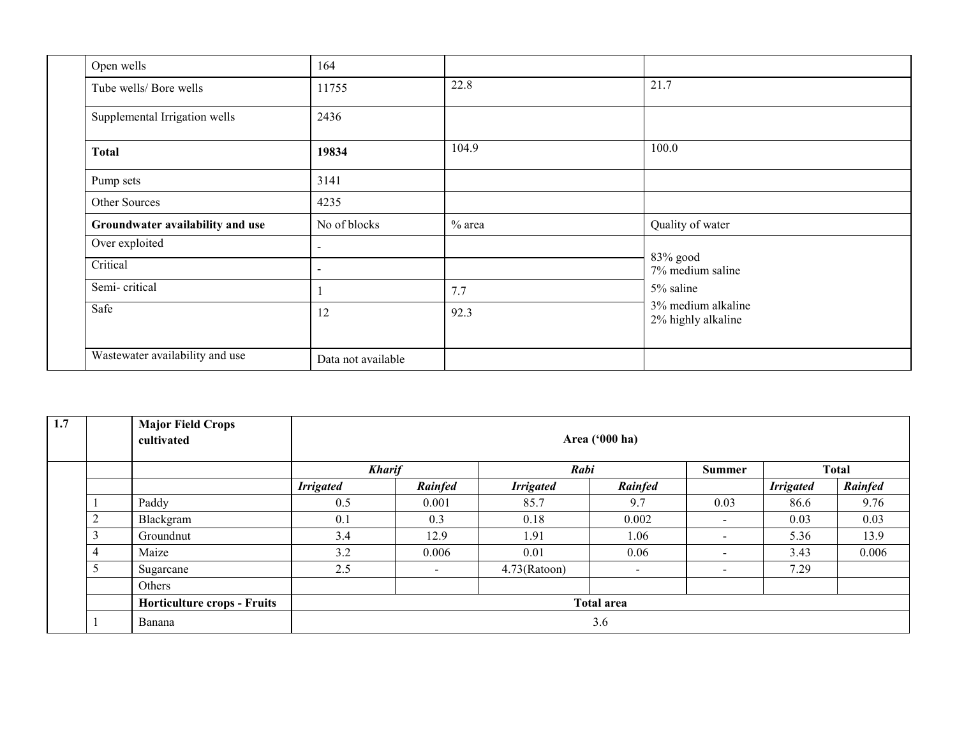| Open wells                       | 164                      |          |                                          |  |  |
|----------------------------------|--------------------------|----------|------------------------------------------|--|--|
| Tube wells/ Bore wells           | 11755                    | 22.8     | 21.7                                     |  |  |
| Supplemental Irrigation wells    | 2436                     |          |                                          |  |  |
| Total                            | 19834                    | 104.9    | 100.0                                    |  |  |
| Pump sets                        | 3141                     |          |                                          |  |  |
| Other Sources                    | 4235                     |          |                                          |  |  |
| Groundwater availability and use | No of blocks             | $%$ area | Quality of water                         |  |  |
| Over exploited                   | $\overline{\phantom{a}}$ |          |                                          |  |  |
| Critical                         | $\overline{\phantom{a}}$ |          | 83% good<br>7% medium saline             |  |  |
| Semi-critical                    |                          | 7.7      | 5% saline                                |  |  |
| Safe                             | 12                       | 92.3     | 3% medium alkaline<br>2% highly alkaline |  |  |
| Wastewater availability and use  | Data not available       |          |                                          |  |  |

| 1.7 |   | <b>Major Field Crops</b><br>cultivated |                   |         |                  | Area ('000 ha) |                          |                  |              |
|-----|---|----------------------------------------|-------------------|---------|------------------|----------------|--------------------------|------------------|--------------|
|     |   |                                        | <b>Kharif</b>     |         | Rabi             |                | <b>Summer</b>            |                  | <b>Total</b> |
|     |   |                                        | <b>Irrigated</b>  | Rainfed | <b>Irrigated</b> | Rainfed        |                          | <b>Irrigated</b> | Rainfed      |
|     |   | Paddy                                  | 0.5               | 0.001   | 85.7             | 9.7            | 0.03                     | 86.6             | 9.76         |
|     | ി | Blackgram                              | 0.1               | 0.3     | 0.18             | 0.002          | $\overline{\phantom{a}}$ | 0.03             | 0.03         |
|     | 3 | Groundnut                              | 3.4               | 12.9    | 1.91             | 1.06           | $\overline{\phantom{0}}$ | 5.36             | 13.9         |
|     |   | Maize                                  | 3.2               | 0.006   | 0.01             | 0.06           | $\overline{\phantom{0}}$ | 3.43             | 0.006        |
|     | ς | Sugarcane                              | 2.5               | $\sim$  | 4.73(Ratoon)     | $\sim$         | $\overline{\phantom{0}}$ | 7.29             |              |
|     |   | Others                                 |                   |         |                  |                |                          |                  |              |
|     |   | <b>Horticulture crops - Fruits</b>     | <b>Total area</b> |         |                  |                |                          |                  |              |
|     |   | Banana                                 |                   |         |                  | 3.6            |                          |                  |              |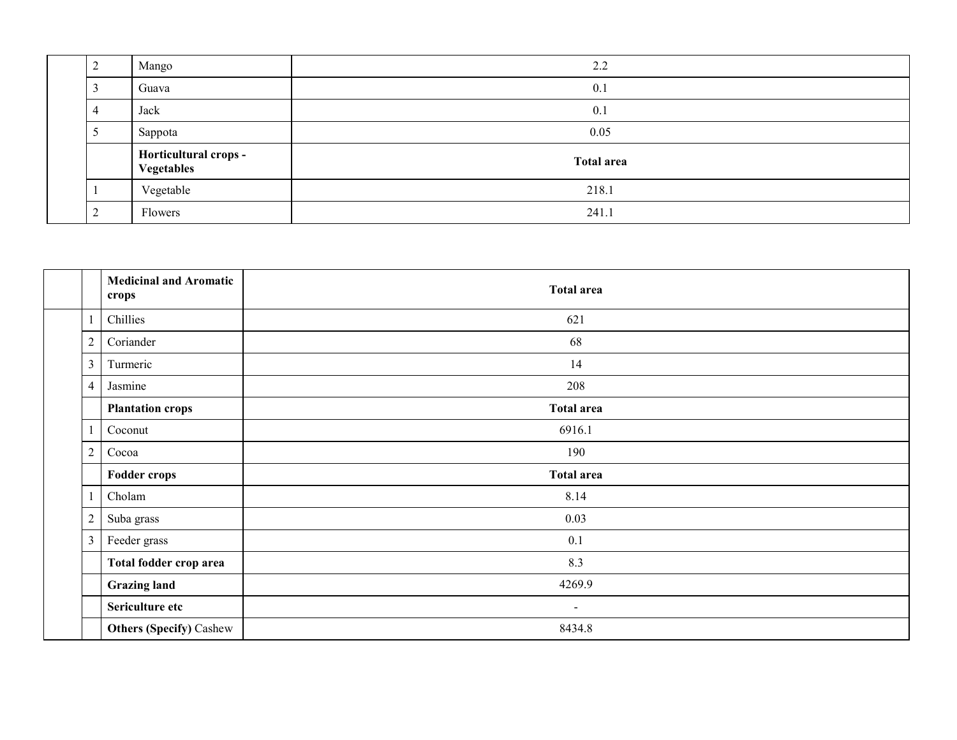| $\sim$ | Mango                               | 2.2               |
|--------|-------------------------------------|-------------------|
|        | Guava                               | 0.1               |
| 4      | Jack                                | 0.1               |
|        | Sappota                             | 0.05              |
|        | Horticultural crops -<br>Vegetables | <b>Total area</b> |
|        | Vegetable                           | 218.1             |
| $\sim$ | Flowers                             | 241.1             |

|                | <b>Medicinal and Aromatic</b><br>crops | <b>Total area</b> |
|----------------|----------------------------------------|-------------------|
|                | Chillies                               | 621               |
| $\overline{2}$ | Coriander                              | 68                |
| $\mathfrak{Z}$ | Turmeric                               | 14                |
| $\overline{4}$ | Jasmine                                | 208               |
|                | <b>Plantation crops</b>                | Total area        |
|                | Coconut                                | 6916.1            |
| $\overline{2}$ | Cocoa                                  | 190               |
|                | <b>Fodder crops</b>                    | Total area        |
|                | Cholam                                 | 8.14              |
| $\overline{2}$ | Suba grass                             | 0.03              |
| $\mathfrak{Z}$ | Feeder grass                           | 0.1               |
|                | Total fodder crop area                 | 8.3               |
|                | <b>Grazing land</b>                    | 4269.9            |
|                | Sericulture etc                        | $\blacksquare$    |
|                | <b>Others (Specify) Cashew</b>         | 8434.8            |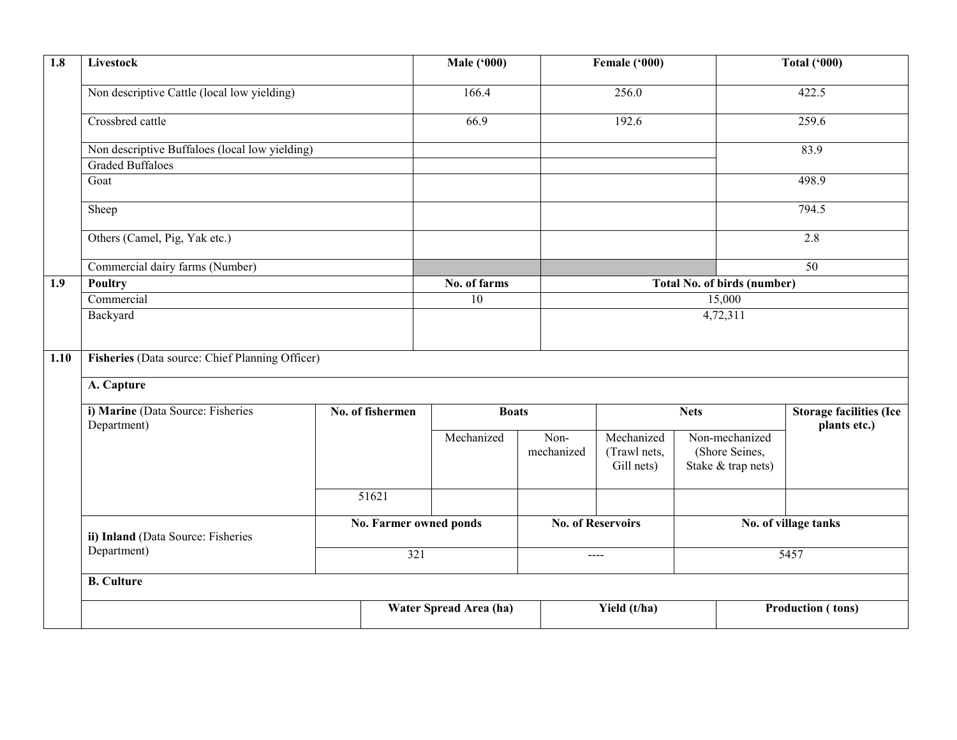| $\overline{1.8}$ | <b>Livestock</b>                                 |                  | <b>Male ('000)</b>            |                    | Female ('000)                            |  |                                                        | <b>Total ('000)</b>                            |  |
|------------------|--------------------------------------------------|------------------|-------------------------------|--------------------|------------------------------------------|--|--------------------------------------------------------|------------------------------------------------|--|
|                  | Non descriptive Cattle (local low yielding)      |                  | 166.4                         |                    | 256.0                                    |  | 422.5                                                  |                                                |  |
|                  | Crossbred cattle                                 |                  | 66.9                          |                    | 192.6                                    |  | 259.6                                                  |                                                |  |
|                  | Non descriptive Buffaloes (local low yielding)   |                  |                               |                    |                                          |  |                                                        | 83.9                                           |  |
|                  | <b>Graded Buffaloes</b>                          |                  |                               |                    |                                          |  |                                                        |                                                |  |
|                  | Goat                                             |                  |                               |                    |                                          |  |                                                        | 498.9                                          |  |
|                  | Sheep                                            |                  |                               |                    |                                          |  |                                                        | 794.5                                          |  |
|                  | Others (Camel, Pig, Yak etc.)                    |                  |                               |                    |                                          |  |                                                        | 2.8                                            |  |
|                  | Commercial dairy farms (Number)                  |                  |                               |                    |                                          |  |                                                        | $\overline{50}$                                |  |
| 1.9              | <b>Poultry</b>                                   |                  | No. of farms                  |                    |                                          |  | <b>Total No. of birds (number)</b>                     |                                                |  |
|                  | Commercial                                       |                  | 10                            |                    | 15,000                                   |  |                                                        |                                                |  |
|                  | Backyard                                         |                  |                               |                    | 4,72,311                                 |  |                                                        |                                                |  |
|                  |                                                  |                  |                               |                    |                                          |  |                                                        |                                                |  |
| 1.10             | Fisheries (Data source: Chief Planning Officer)  |                  |                               |                    |                                          |  |                                                        |                                                |  |
|                  | A. Capture                                       |                  |                               |                    |                                          |  |                                                        |                                                |  |
|                  | i) Marine (Data Source: Fisheries<br>Department) | No. of fishermen | <b>Boats</b>                  |                    | <b>Nets</b>                              |  |                                                        | <b>Storage facilities (Ice</b><br>plants etc.) |  |
|                  |                                                  |                  | Mechanized                    | Non-<br>mechanized | Mechanized<br>(Trawl nets,<br>Gill nets) |  | Non-mechanized<br>(Shore Seines,<br>Stake & trap nets) |                                                |  |
|                  |                                                  | 51621            |                               |                    |                                          |  |                                                        |                                                |  |
|                  | ii) Inland (Data Source: Fisheries               |                  | <b>No. Farmer owned ponds</b> |                    | <b>No. of Reservoirs</b>                 |  |                                                        | No. of village tanks                           |  |
|                  | Department)                                      |                  | 321                           |                    | $---$                                    |  | 5457                                                   |                                                |  |
|                  | <b>B.</b> Culture                                |                  |                               |                    |                                          |  |                                                        |                                                |  |
|                  |                                                  |                  | Water Spread Area (ha)        |                    | Yield (t/ha)                             |  |                                                        | Production (tons)                              |  |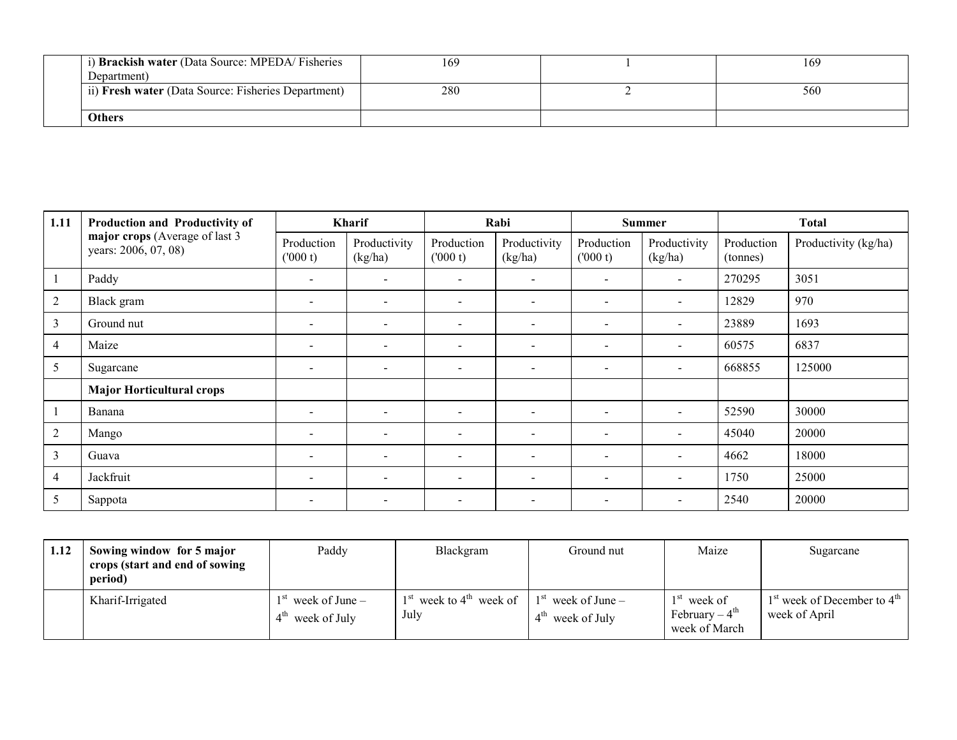| i) <b>Brackish water</b> (Data Source: MPEDA/Fisheries | 169 | 169 |
|--------------------------------------------------------|-----|-----|
| Department)                                            |     |     |
| ii) Fresh water (Data Source: Fisheries Department)    | 280 | 560 |
|                                                        |     |     |
| <b>Others</b>                                          |     |     |

| 1.11           | <b>Production and Productivity of</b><br>major crops (Average of last 3<br>years: 2006, 07, 08) | <b>Kharif</b>            |                          | Rabi                     |                          | <b>Summer</b>            |                          | <b>Total</b>           |                      |
|----------------|-------------------------------------------------------------------------------------------------|--------------------------|--------------------------|--------------------------|--------------------------|--------------------------|--------------------------|------------------------|----------------------|
|                |                                                                                                 | Production<br>(1000 t)   | Productivity<br>(kg/ha)  | Production<br>(000 t)    | Productivity<br>(kg/ha)  | Production<br>(000 t)    | Productivity<br>(kg/ha)  | Production<br>(tonnes) | Productivity (kg/ha) |
| $\overline{1}$ | Paddy                                                                                           | $\overline{\phantom{a}}$ | $\blacksquare$           | $\overline{\phantom{0}}$ | $\overline{\phantom{a}}$ | $\overline{\phantom{a}}$ | $\overline{\phantom{0}}$ | 270295                 | 3051                 |
| $\overline{2}$ | Black gram                                                                                      |                          | $\overline{\phantom{a}}$ | $\overline{\phantom{0}}$ | $\overline{\phantom{a}}$ | $\overline{\phantom{0}}$ | $\overline{\phantom{0}}$ | 12829                  | 970                  |
| 3              | Ground nut                                                                                      | $\overline{\phantom{a}}$ | $\overline{\phantom{a}}$ | $\overline{\phantom{a}}$ | $\overline{\phantom{0}}$ | $\overline{\phantom{a}}$ | $\blacksquare$           | 23889                  | 1693                 |
| $\overline{4}$ | Maize                                                                                           |                          | $\blacksquare$           | $\blacksquare$           | $\blacksquare$           | $\overline{\phantom{a}}$ | $\overline{\phantom{a}}$ | 60575                  | 6837                 |
| 5              | Sugarcane                                                                                       | $\overline{\phantom{a}}$ | $\overline{\phantom{a}}$ | $\overline{\phantom{a}}$ | $\overline{\phantom{0}}$ | $\overline{\phantom{a}}$ | $\overline{\phantom{a}}$ | 668855                 | 125000               |
|                | <b>Major Horticultural crops</b>                                                                |                          |                          |                          |                          |                          |                          |                        |                      |
|                | Banana                                                                                          | $\overline{\phantom{a}}$ | $\overline{\phantom{a}}$ | $\overline{\phantom{0}}$ | $\overline{\phantom{0}}$ | $\overline{\phantom{a}}$ | $\overline{\phantom{a}}$ | 52590                  | 30000                |
| $\overline{2}$ | Mango                                                                                           | $\overline{\phantom{a}}$ | $\overline{\phantom{0}}$ | $\overline{\phantom{0}}$ | $\overline{\phantom{a}}$ | $\overline{\phantom{a}}$ | $\overline{\phantom{0}}$ | 45040                  | 20000                |
| $\mathfrak{Z}$ | Guava                                                                                           |                          | $\overline{\phantom{a}}$ | $\overline{\phantom{a}}$ | $\overline{\phantom{a}}$ | $\overline{\phantom{a}}$ | $\overline{\phantom{0}}$ | 4662                   | 18000                |
| $\overline{4}$ | Jackfruit                                                                                       | $\overline{\phantom{a}}$ | $\blacksquare$           | $\overline{\phantom{a}}$ | $\overline{\phantom{a}}$ | $\overline{\phantom{a}}$ | $\overline{\phantom{a}}$ | 1750                   | 25000                |
| 5              | Sappota                                                                                         | $\overline{\phantom{0}}$ | $\overline{\phantom{0}}$ |                          |                          |                          |                          | 2540                   | 20000                |

| 1.12 | Sowing window for 5 major<br>crops (start and end of sowing<br>period) | Paddy                                             | Blackgram                           | Ground nut                                 | Maize                                                       | Sugarcane                                        |
|------|------------------------------------------------------------------------|---------------------------------------------------|-------------------------------------|--------------------------------------------|-------------------------------------------------------------|--------------------------------------------------|
|      | Kharif-Irrigated                                                       | $1st$ week of June –<br><sup>h</sup> week of July | $1st$ week to $4th$ week of<br>July | $1st$ week of June –<br>$4th$ week of July | $1st$ week of<br>February $-4^{\text{th}}$<br>week of March | $1st$ week of December to $4th$<br>week of April |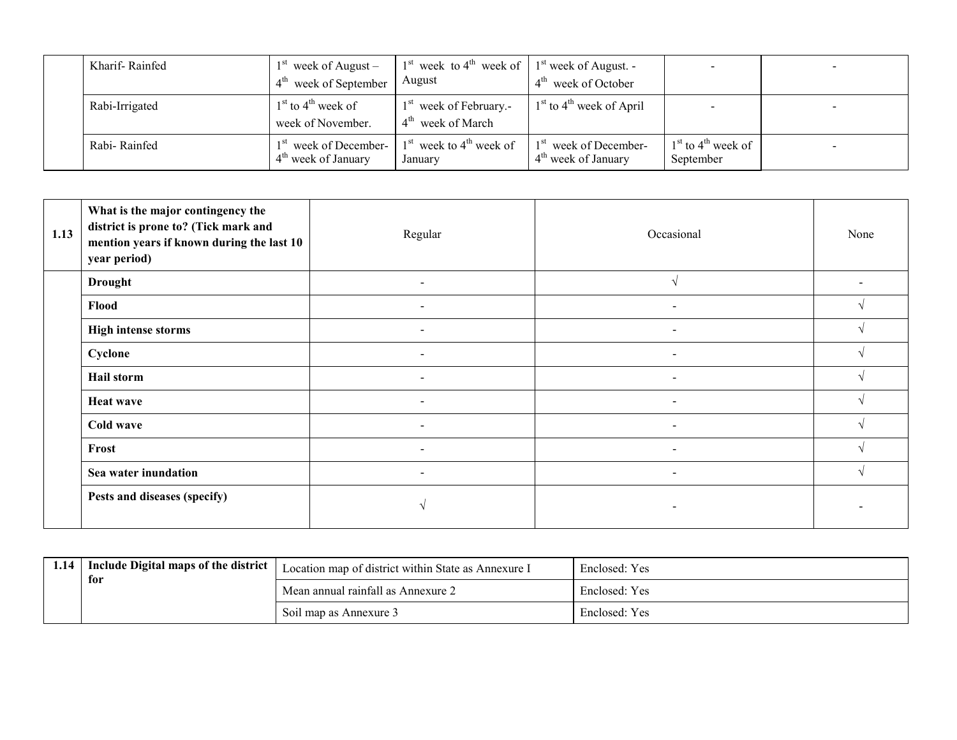| Kharif-Rainfed | $1st$ week of August –<br>week of September<br>$4^{\text{th}}$       | $1st$ week to 4 <sup>th</sup> week of $1st$ week of August. -<br>August | $4th$ week of October                                      |                                     |  |
|----------------|----------------------------------------------------------------------|-------------------------------------------------------------------------|------------------------------------------------------------|-------------------------------------|--|
| Rabi-Irrigated | $1st$ to $4th$ week of<br>week of November.                          | 1 <sup>st</sup> week of February.-<br>week of March<br>$4^{\text{th}}$  | $1st$ to $4th$ week of April                               |                                     |  |
| Rabi-Rainfed   | 1 <sup>st</sup> week of December-<br>4 <sup>th</sup> week of January | $1st$ week to $4th$ week of<br>January                                  | $1st$ week of December-<br>4 <sup>th</sup> week of January | $1st$ to $4th$ week of<br>September |  |

| 1.13 | What is the major contingency the<br>district is prone to? (Tick mark and<br>mention years if known during the last 10<br>year period) | Regular                  | Occasional               | None          |
|------|----------------------------------------------------------------------------------------------------------------------------------------|--------------------------|--------------------------|---------------|
|      | <b>Drought</b>                                                                                                                         | $\overline{\phantom{a}}$ |                          |               |
|      | Flood                                                                                                                                  | $\overline{\phantom{a}}$ | $\blacksquare$           |               |
|      | <b>High intense storms</b>                                                                                                             |                          | $\overline{\phantom{a}}$ |               |
|      | Cyclone                                                                                                                                | $\overline{\phantom{a}}$ | $\blacksquare$           |               |
|      | Hail storm                                                                                                                             | $\sim$                   | $\blacksquare$           |               |
|      | Heat wave                                                                                                                              | $\overline{\phantom{a}}$ | $\overline{\phantom{a}}$ |               |
|      | Cold wave                                                                                                                              |                          |                          |               |
|      | Frost                                                                                                                                  | $\blacksquare$           | $\overline{\phantom{0}}$ | $\mathcal{L}$ |
|      | Sea water inundation                                                                                                                   | $\overline{\phantom{a}}$ | $\overline{\phantom{a}}$ |               |
|      | Pests and diseases (specify)                                                                                                           | $\lambda$                | $\overline{\phantom{a}}$ |               |

| 1.14 | Include Digital maps of the district | Location map of district within State as Annexure I | Enclosed: Yes |
|------|--------------------------------------|-----------------------------------------------------|---------------|
| for  | Mean annual rainfall as Annexure 2   | Enclosed: Yes                                       |               |
|      |                                      | Soil map as Annexure 3                              | Enclosed: Yes |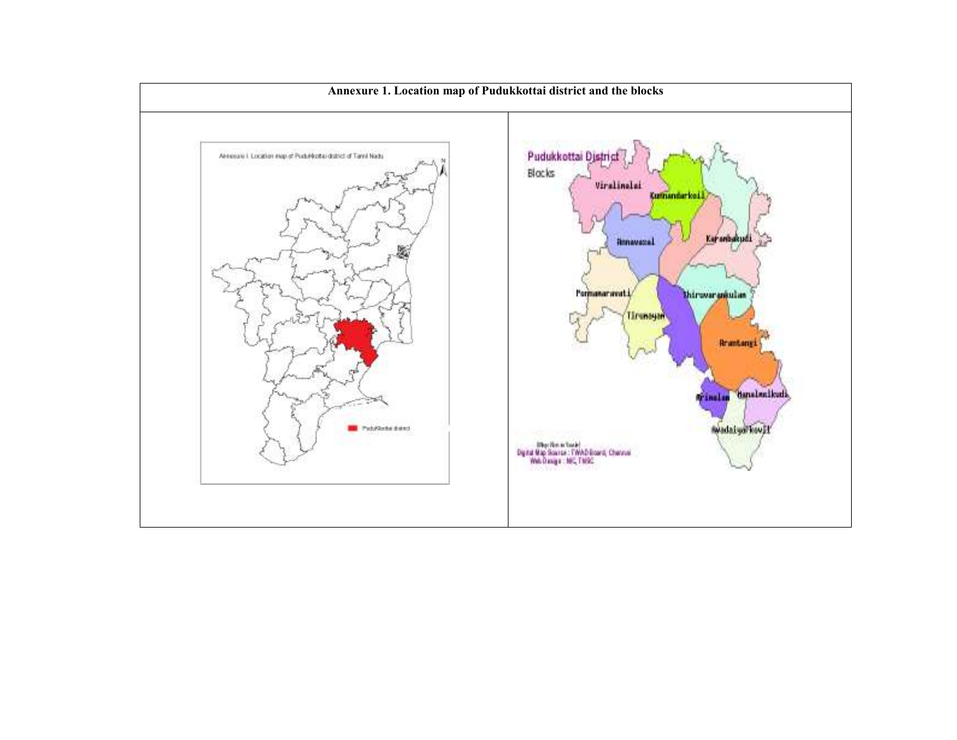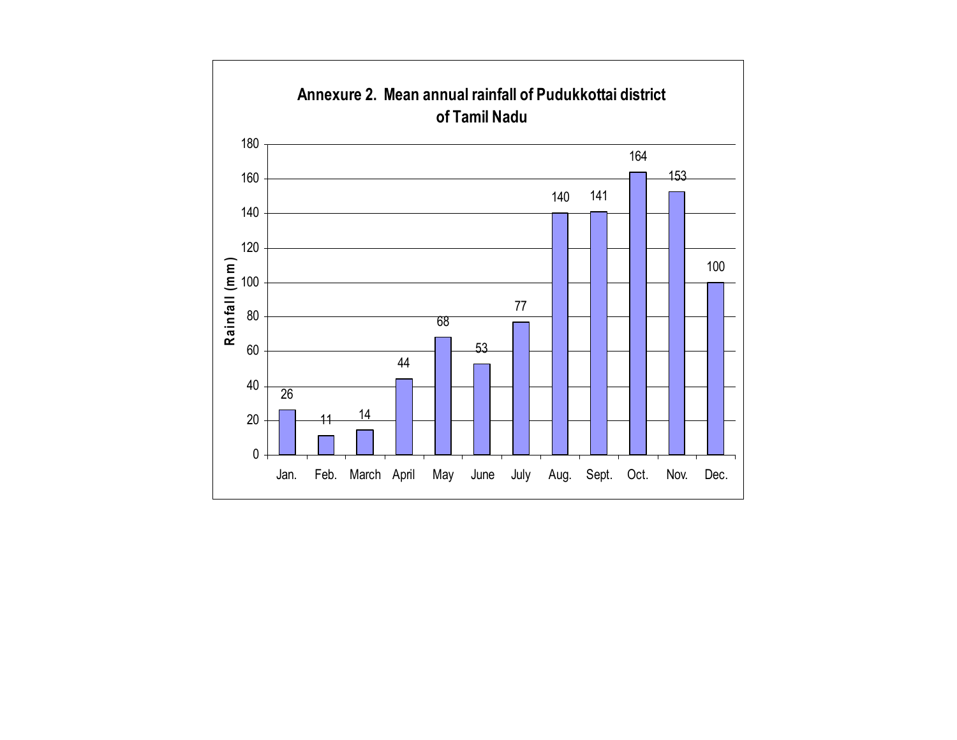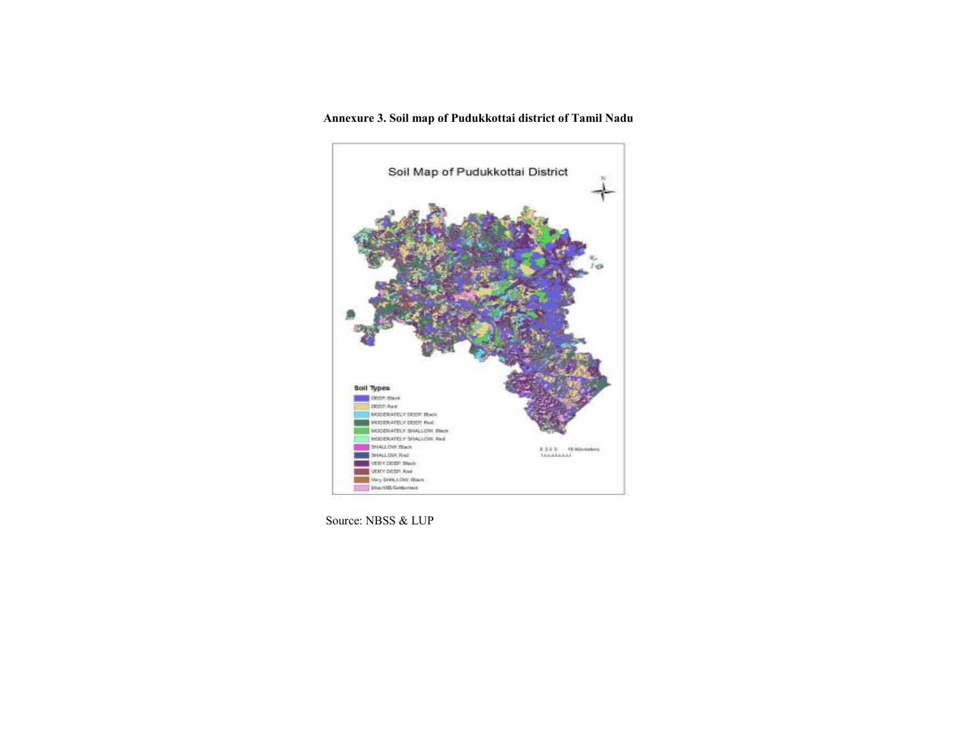Annexure 3. Soil map of Pudukkottai district of Tamil Nadu



Source: NBSS & LUP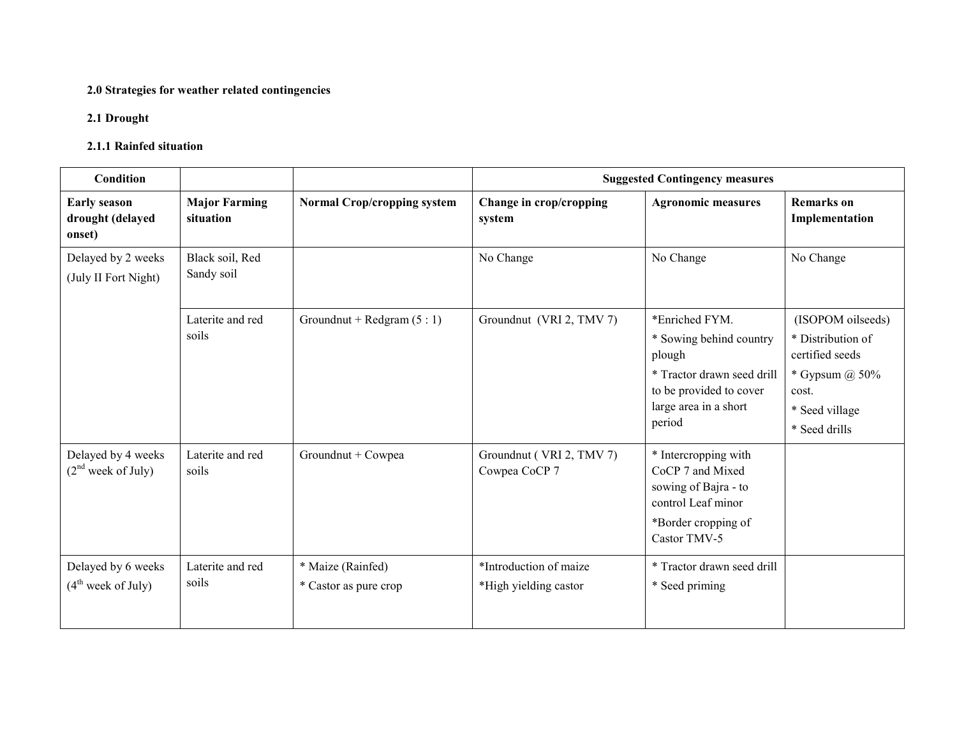#### 2.0 Strategies for weather related contingencies

#### 2.1 Drought

#### 2.1.1 Rainfed situation

| Condition                                            |                                   |                                            | <b>Suggested Contingency measures</b>           |                                                                                                                                                 |                                                                                                                             |  |
|------------------------------------------------------|-----------------------------------|--------------------------------------------|-------------------------------------------------|-------------------------------------------------------------------------------------------------------------------------------------------------|-----------------------------------------------------------------------------------------------------------------------------|--|
| <b>Early season</b><br>drought (delayed<br>onset)    | <b>Major Farming</b><br>situation | <b>Normal Crop/cropping system</b>         | Change in crop/cropping<br>system               | <b>Agronomic measures</b>                                                                                                                       | <b>Remarks</b> on<br>Implementation                                                                                         |  |
| Delayed by 2 weeks<br>(July II Fort Night)           | Black soil, Red<br>Sandy soil     |                                            | No Change                                       | No Change                                                                                                                                       | No Change                                                                                                                   |  |
|                                                      | Laterite and red<br>soils         | Groundnut + Redgram $(5:1)$                | Groundnut (VRI 2, TMV 7)                        | *Enriched FYM.<br>* Sowing behind country<br>plough<br>* Tractor drawn seed drill<br>to be provided to cover<br>large area in a short<br>period | (ISOPOM oilseeds)<br>* Distribution of<br>certified seeds<br>* Gypsum $(a)$ 50%<br>cost.<br>* Seed village<br>* Seed drills |  |
| Delayed by 4 weeks<br>(2 <sup>nd</sup> week of July) | Laterite and red<br>soils         | Groundnut + Cowpea                         | Groundnut (VRI 2, TMV 7)<br>Cowpea CoCP 7       | * Intercropping with<br>CoCP 7 and Mixed<br>sowing of Bajra - to<br>control Leaf minor<br>*Border cropping of<br>Castor TMV-5                   |                                                                                                                             |  |
| Delayed by 6 weeks<br>$(4th$ week of July)           | Laterite and red<br>soils         | * Maize (Rainfed)<br>* Castor as pure crop | *Introduction of maize<br>*High yielding castor | * Tractor drawn seed drill<br>* Seed priming                                                                                                    |                                                                                                                             |  |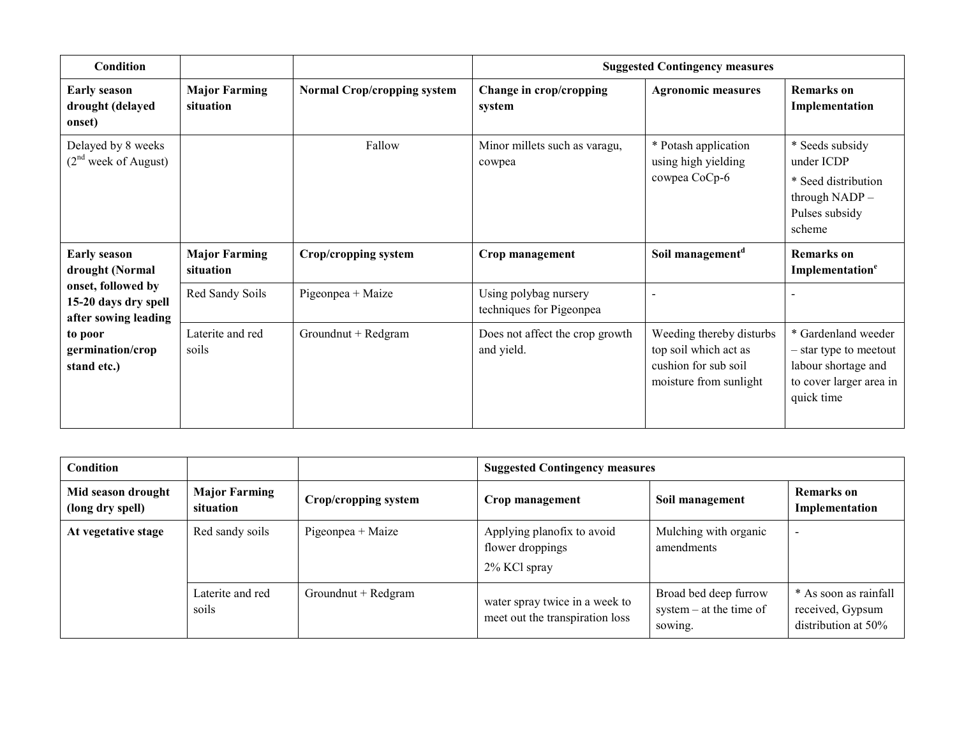| Condition                                                          |                                   |                                    | <b>Suggested Contingency measures</b>             |                                                                                                     |                                                                                                               |
|--------------------------------------------------------------------|-----------------------------------|------------------------------------|---------------------------------------------------|-----------------------------------------------------------------------------------------------------|---------------------------------------------------------------------------------------------------------------|
| <b>Early season</b><br>drought (delayed<br>onset)                  | <b>Major Farming</b><br>situation | <b>Normal Crop/cropping system</b> | Change in crop/cropping<br>system                 | <b>Agronomic measures</b>                                                                           | <b>Remarks</b> on<br>Implementation                                                                           |
| Delayed by 8 weeks<br>$(2nd$ week of August)                       |                                   | Fallow                             | Minor millets such as varagu,<br>cowpea           | * Potash application<br>using high yielding<br>cowpea CoCp-6                                        | * Seeds subsidy<br>under ICDP<br>* Seed distribution<br>through NADP -<br>Pulses subsidy<br>scheme            |
| <b>Early season</b><br>drought (Normal                             | <b>Major Farming</b><br>situation | Crop/cropping system               | Crop management                                   | Soil management <sup>d</sup>                                                                        | <b>Remarks</b> on<br>Implementation <sup>e</sup>                                                              |
| onset, followed by<br>15-20 days dry spell<br>after sowing leading | Red Sandy Soils                   | Pigeonpea + Maize                  | Using polybag nursery<br>techniques for Pigeonpea |                                                                                                     |                                                                                                               |
| to poor<br>germination/crop<br>stand etc.)                         | Laterite and red<br>soils         | Groundnut + Redgram                | Does not affect the crop growth<br>and yield.     | Weeding thereby disturbs<br>top soil which act as<br>cushion for sub soil<br>moisture from sunlight | * Gardenland weeder<br>- star type to meetout<br>labour shortage and<br>to cover larger area in<br>quick time |

| <b>Condition</b>                                                                                    |                           |                     | <b>Suggested Contingency measures</b>                             |                                                               |                                                                  |
|-----------------------------------------------------------------------------------------------------|---------------------------|---------------------|-------------------------------------------------------------------|---------------------------------------------------------------|------------------------------------------------------------------|
| <b>Major Farming</b><br>Mid season drought<br>Crop/cropping system<br>situation<br>(long dry spell) |                           |                     | Soil management<br>Crop management                                |                                                               | <b>Remarks</b> on<br>Implementation                              |
| At vegetative stage                                                                                 | Red sandy soils           | Pigeonpea + Maize   | Applying planofix to avoid<br>flower droppings<br>2% KCl spray    | Mulching with organic<br>amendments                           |                                                                  |
|                                                                                                     | Laterite and red<br>soils | Groundnut + Redgram | water spray twice in a week to<br>meet out the transpiration loss | Broad bed deep furrow<br>system $-$ at the time of<br>sowing. | * As soon as rainfall<br>received, Gypsum<br>distribution at 50% |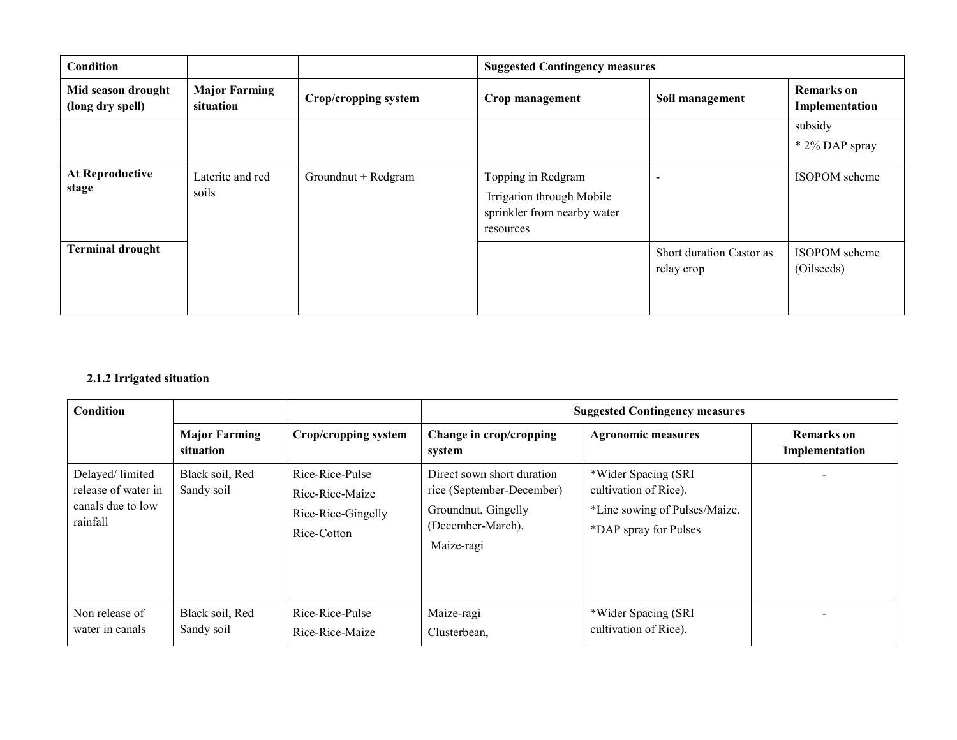| Condition                              |                                   |                      | <b>Suggested Contingency measures</b>                                                       |                                        |                                     |
|----------------------------------------|-----------------------------------|----------------------|---------------------------------------------------------------------------------------------|----------------------------------------|-------------------------------------|
| Mid season drought<br>(long dry spell) | <b>Major Farming</b><br>situation | Crop/cropping system | Crop management                                                                             | Soil management                        | <b>Remarks</b> on<br>Implementation |
|                                        |                                   |                      |                                                                                             |                                        | subsidy<br>* 2% DAP spray           |
| <b>At Reproductive</b><br>stage        | Laterite and red<br>soils         | Groundnut + Redgram  | Topping in Redgram<br>Irrigation through Mobile<br>sprinkler from nearby water<br>resources |                                        | ISOPOM scheme                       |
| <b>Terminal drought</b>                |                                   |                      |                                                                                             | Short duration Castor as<br>relay crop | ISOPOM scheme<br>(Oilseeds)         |

#### 2.1.2 Irrigated situation

| <b>Condition</b>                                                         |                                   |                                                                         | <b>Suggested Contingency measures</b>                                                                             |                                                                                                        |                                     |
|--------------------------------------------------------------------------|-----------------------------------|-------------------------------------------------------------------------|-------------------------------------------------------------------------------------------------------------------|--------------------------------------------------------------------------------------------------------|-------------------------------------|
|                                                                          | <b>Major Farming</b><br>situation | Crop/cropping system                                                    | Change in crop/cropping<br>system                                                                                 | <b>Agronomic measures</b>                                                                              | <b>Remarks</b> on<br>Implementation |
| Delayed/ limited<br>release of water in<br>canals due to low<br>rainfall | Black soil, Red<br>Sandy soil     | Rice-Rice-Pulse<br>Rice-Rice-Maize<br>Rice-Rice-Gingelly<br>Rice-Cotton | Direct sown short duration<br>rice (September-December)<br>Groundnut, Gingelly<br>(December-March),<br>Maize-ragi | *Wider Spacing (SRI<br>cultivation of Rice).<br>*Line sowing of Pulses/Maize.<br>*DAP spray for Pulses |                                     |
| Non release of<br>water in canals                                        | Black soil, Red<br>Sandy soil     | Rice-Rice-Pulse<br>Rice-Rice-Maize                                      | Maize-ragi<br>Clusterbean,                                                                                        | *Wider Spacing (SRI<br>cultivation of Rice).                                                           |                                     |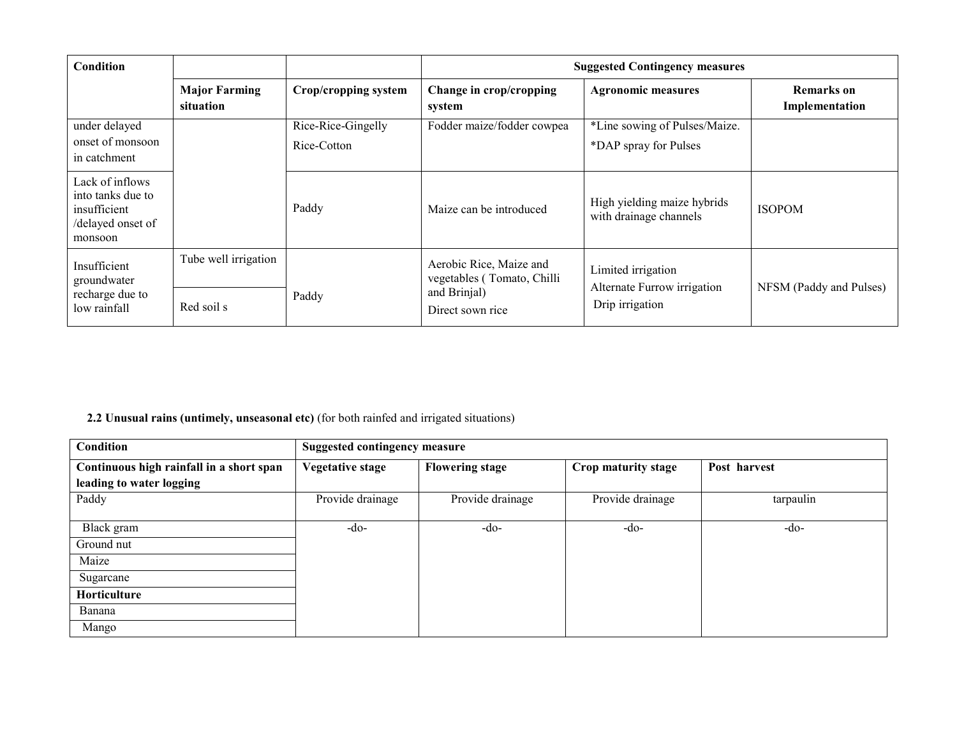| Condition                                                                            |                                    |                                   | <b>Suggested Contingency measures</b>                                                     |                                                                      |                              |
|--------------------------------------------------------------------------------------|------------------------------------|-----------------------------------|-------------------------------------------------------------------------------------------|----------------------------------------------------------------------|------------------------------|
|                                                                                      | <b>Major Farming</b><br>situation  | Crop/cropping system              | Change in crop/cropping<br>system                                                         | <b>Agronomic measures</b>                                            | Remarks on<br>Implementation |
| under delayed<br>onset of monsoon<br>in catchment                                    |                                    | Rice-Rice-Gingelly<br>Rice-Cotton | Fodder maize/fodder cowpea                                                                | *Line sowing of Pulses/Maize.<br>*DAP spray for Pulses               |                              |
| Lack of inflows<br>into tanks due to<br>insufficient<br>/delayed onset of<br>monsoon |                                    | Paddy                             | Maize can be introduced                                                                   | High yielding maize hybrids<br>with drainage channels                | <b>ISOPOM</b>                |
| Insufficient<br>groundwater<br>recharge due to<br>low rainfall                       | Tube well irrigation<br>Red soil s | Paddy                             | Aerobic Rice, Maize and<br>vegetables (Tomato, Chilli<br>and Brinjal)<br>Direct sown rice | Limited irrigation<br>Alternate Furrow irrigation<br>Drip irrigation | NFSM (Paddy and Pulses)      |

#### 2.2 Unusual rains (untimely, unseasonal etc) (for both rainfed and irrigated situations)

| Condition                                |                         | <b>Suggested contingency measure</b> |                     |              |  |  |
|------------------------------------------|-------------------------|--------------------------------------|---------------------|--------------|--|--|
| Continuous high rainfall in a short span | <b>Vegetative stage</b> | <b>Flowering stage</b>               | Crop maturity stage | Post harvest |  |  |
| leading to water logging                 |                         |                                      |                     |              |  |  |
| Paddy                                    | Provide drainage        | Provide drainage                     | Provide drainage    | tarpaulin    |  |  |
|                                          |                         |                                      |                     |              |  |  |
| Black gram                               | -do-                    | $-do-$                               | $-do-$              | -do-         |  |  |
| Ground nut                               |                         |                                      |                     |              |  |  |
| Maize                                    |                         |                                      |                     |              |  |  |
| Sugarcane                                |                         |                                      |                     |              |  |  |
| Horticulture                             |                         |                                      |                     |              |  |  |
| Banana                                   |                         |                                      |                     |              |  |  |
| Mango                                    |                         |                                      |                     |              |  |  |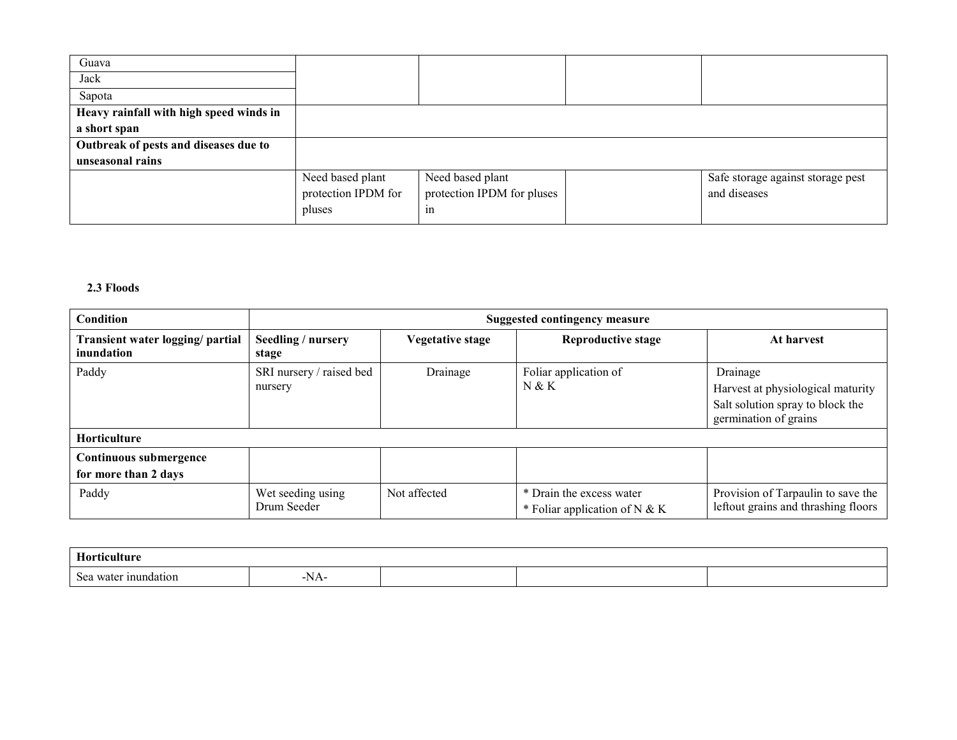| Guava                                   |                     |                            |                                   |
|-----------------------------------------|---------------------|----------------------------|-----------------------------------|
| Jack                                    |                     |                            |                                   |
| Sapota                                  |                     |                            |                                   |
| Heavy rainfall with high speed winds in |                     |                            |                                   |
| a short span                            |                     |                            |                                   |
| Outbreak of pests and diseases due to   |                     |                            |                                   |
| unseasonal rains                        |                     |                            |                                   |
|                                         | Need based plant    | Need based plant           | Safe storage against storage pest |
|                                         | protection IPDM for | protection IPDM for pluses | and diseases                      |
|                                         | pluses              | <sub>1</sub> n             |                                   |

### 2.3 Floods

| Condition                                      |                                     | <b>Suggested contingency measure</b> |                                                           |                                                                                                            |  |  |
|------------------------------------------------|-------------------------------------|--------------------------------------|-----------------------------------------------------------|------------------------------------------------------------------------------------------------------------|--|--|
| Transient water logging/ partial<br>inundation | Seedling / nursery<br>stage         | Vegetative stage                     | <b>Reproductive stage</b>                                 | At harvest                                                                                                 |  |  |
| Paddy                                          | SRI nursery / raised bed<br>nursery | Drainage                             | Foliar application of<br>N & K                            | Drainage<br>Harvest at physiological maturity<br>Salt solution spray to block the<br>germination of grains |  |  |
| <b>Horticulture</b>                            |                                     |                                      |                                                           |                                                                                                            |  |  |
| Continuous submergence<br>for more than 2 days |                                     |                                      |                                                           |                                                                                                            |  |  |
| Paddy                                          | Wet seeding using<br>Drum Seeder    | Not affected                         | * Drain the excess water<br>* Foliar application of N & K | Provision of Tarpaulin to save the<br>leftout grains and thrashing floors                                  |  |  |

| П<br>Torticultur        |                  |  |  |
|-------------------------|------------------|--|--|
| water inundation<br>sea | <b>*</b><br>-NA- |  |  |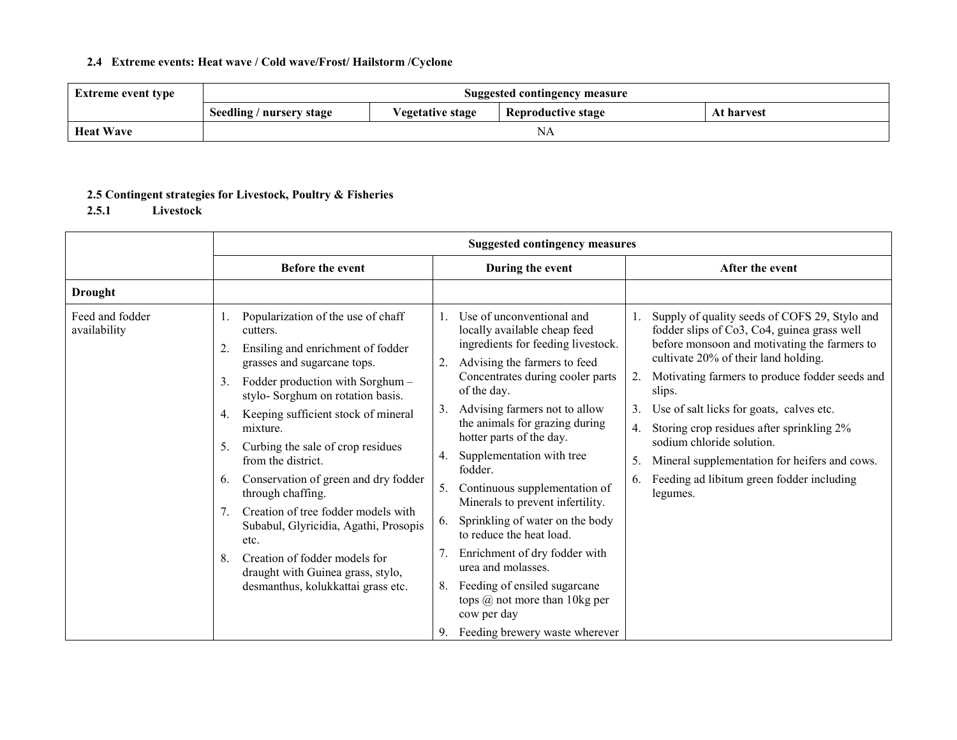#### 2.4 Extreme events: Heat wave / Cold wave/Frost/ Hailstorm /Cyclone

| <b>Extreme event type</b> | Suggested contingency measure                                                           |  |  |  |  |
|---------------------------|-----------------------------------------------------------------------------------------|--|--|--|--|
|                           | Seedling / nursery stage<br><b>Reproductive stage</b><br>Vegetative stage<br>At harvest |  |  |  |  |
| <b>Heat Wave</b>          | NA                                                                                      |  |  |  |  |

#### 2.5 Contingent strategies for Livestock, Poultry & Fisheries

2.5.1 Livestock

|                                 | <b>Suggested contingency measures</b>                                                                                                                                                                                                                                                                                                                                                                                                                                                                                                                                                                                     |                                                                                                                                                                                                                                                                                                                                                                                                                                                                                                                                                                                                                                                                                                                                   |                                                                                                                                                                                                                                                                                                                                                                                                                                                                                                             |  |  |
|---------------------------------|---------------------------------------------------------------------------------------------------------------------------------------------------------------------------------------------------------------------------------------------------------------------------------------------------------------------------------------------------------------------------------------------------------------------------------------------------------------------------------------------------------------------------------------------------------------------------------------------------------------------------|-----------------------------------------------------------------------------------------------------------------------------------------------------------------------------------------------------------------------------------------------------------------------------------------------------------------------------------------------------------------------------------------------------------------------------------------------------------------------------------------------------------------------------------------------------------------------------------------------------------------------------------------------------------------------------------------------------------------------------------|-------------------------------------------------------------------------------------------------------------------------------------------------------------------------------------------------------------------------------------------------------------------------------------------------------------------------------------------------------------------------------------------------------------------------------------------------------------------------------------------------------------|--|--|
|                                 | <b>Before the event</b>                                                                                                                                                                                                                                                                                                                                                                                                                                                                                                                                                                                                   | During the event                                                                                                                                                                                                                                                                                                                                                                                                                                                                                                                                                                                                                                                                                                                  | After the event                                                                                                                                                                                                                                                                                                                                                                                                                                                                                             |  |  |
| <b>Drought</b>                  |                                                                                                                                                                                                                                                                                                                                                                                                                                                                                                                                                                                                                           |                                                                                                                                                                                                                                                                                                                                                                                                                                                                                                                                                                                                                                                                                                                                   |                                                                                                                                                                                                                                                                                                                                                                                                                                                                                                             |  |  |
| Feed and fodder<br>availability | Popularization of the use of chaff<br>1.<br>cutters.<br>Ensiling and enrichment of fodder<br>2.<br>grasses and sugarcane tops.<br>Fodder production with Sorghum -<br>3.<br>stylo-Sorghum on rotation basis.<br>Keeping sufficient stock of mineral<br>4.<br>mixture.<br>Curbing the sale of crop residues<br>5.<br>from the district.<br>Conservation of green and dry fodder<br>6.<br>through chaffing.<br>Creation of tree fodder models with<br>7.<br>Subabul, Glyricidia, Agathi, Prosopis<br>etc.<br>Creation of fodder models for<br>8.<br>draught with Guinea grass, stylo,<br>desmanthus, kolukkattai grass etc. | Use of unconventional and<br>$\mathbf{1}_{\mathbf{1}_{\mathbf{1}}}$<br>locally available cheap feed<br>ingredients for feeding livestock.<br>Advising the farmers to feed<br>2.<br>Concentrates during cooler parts<br>of the day.<br>Advising farmers not to allow<br>3.<br>the animals for grazing during<br>hotter parts of the day.<br>Supplementation with tree<br>4.<br>fodder.<br>Continuous supplementation of<br>5.<br>Minerals to prevent infertility.<br>Sprinkling of water on the body<br>6.<br>to reduce the heat load.<br>Enrichment of dry fodder with<br>7.<br>urea and molasses.<br>Feeding of ensiled sugarcane<br>8.<br>tops $\omega$ not more than 10kg per<br>cow per day<br>Feeding brewery waste wherever | 1. Supply of quality seeds of COFS 29, Stylo and<br>fodder slips of Co3, Co4, guinea grass well<br>before monsoon and motivating the farmers to<br>cultivate 20% of their land holding.<br>Motivating farmers to produce fodder seeds and<br>2.<br>slips.<br>Use of salt licks for goats, calves etc.<br>3.<br>Storing crop residues after sprinkling 2%<br>sodium chloride solution.<br>Mineral supplementation for heifers and cows.<br>5.<br>Feeding ad libitum green fodder including<br>6.<br>legumes. |  |  |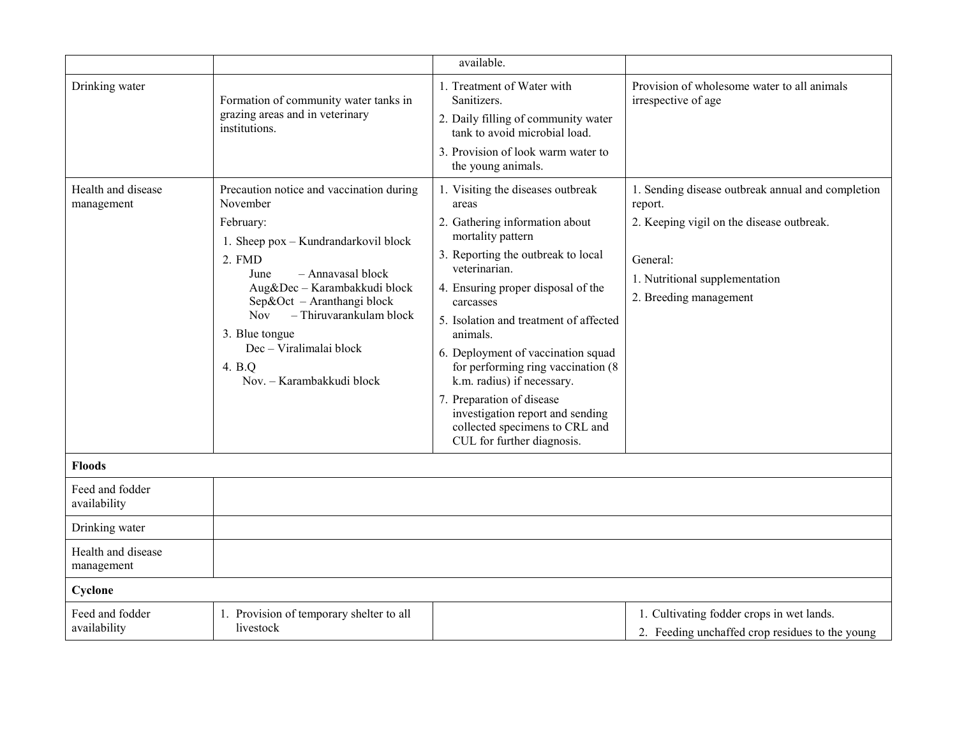|                                  |                                                                                                                                                                                                                                                                                                                                             | available.                                                                                                                                                                                                                                                                                                                                                                                                                                                                                                    |                                                                                                                                                                                   |
|----------------------------------|---------------------------------------------------------------------------------------------------------------------------------------------------------------------------------------------------------------------------------------------------------------------------------------------------------------------------------------------|---------------------------------------------------------------------------------------------------------------------------------------------------------------------------------------------------------------------------------------------------------------------------------------------------------------------------------------------------------------------------------------------------------------------------------------------------------------------------------------------------------------|-----------------------------------------------------------------------------------------------------------------------------------------------------------------------------------|
| Drinking water                   | Formation of community water tanks in<br>grazing areas and in veterinary<br>institutions.                                                                                                                                                                                                                                                   | 1. Treatment of Water with<br>Sanitizers.<br>2. Daily filling of community water<br>tank to avoid microbial load.<br>3. Provision of look warm water to<br>the young animals.                                                                                                                                                                                                                                                                                                                                 | Provision of wholesome water to all animals<br>irrespective of age                                                                                                                |
| Health and disease<br>management | Precaution notice and vaccination during<br>November<br>February:<br>1. Sheep pox – Kundrandarkovil block<br>2. FMD<br>- Annavasal block<br>June<br>Aug&Dec - Karambakkudi block<br>Sep&Oct - Aranthangi block<br>- Thiruvarankulam block<br><b>Nov</b><br>3. Blue tongue<br>Dec - Viralimalai block<br>4. B.Q<br>Nov. - Karambakkudi block | 1. Visiting the diseases outbreak<br>areas<br>2. Gathering information about<br>mortality pattern<br>3. Reporting the outbreak to local<br>veterinarian.<br>4. Ensuring proper disposal of the<br>carcasses<br>5. Isolation and treatment of affected<br>animals.<br>6. Deployment of vaccination squad<br>for performing ring vaccination (8)<br>k.m. radius) if necessary.<br>7. Preparation of disease<br>investigation report and sending<br>collected specimens to CRL and<br>CUL for further diagnosis. | 1. Sending disease outbreak annual and completion<br>report.<br>2. Keeping vigil on the disease outbreak.<br>General:<br>1. Nutritional supplementation<br>2. Breeding management |
| <b>Floods</b>                    |                                                                                                                                                                                                                                                                                                                                             |                                                                                                                                                                                                                                                                                                                                                                                                                                                                                                               |                                                                                                                                                                                   |
| Feed and fodder<br>availability  |                                                                                                                                                                                                                                                                                                                                             |                                                                                                                                                                                                                                                                                                                                                                                                                                                                                                               |                                                                                                                                                                                   |
| Drinking water                   |                                                                                                                                                                                                                                                                                                                                             |                                                                                                                                                                                                                                                                                                                                                                                                                                                                                                               |                                                                                                                                                                                   |
| Health and disease<br>management |                                                                                                                                                                                                                                                                                                                                             |                                                                                                                                                                                                                                                                                                                                                                                                                                                                                                               |                                                                                                                                                                                   |
| Cyclone                          |                                                                                                                                                                                                                                                                                                                                             |                                                                                                                                                                                                                                                                                                                                                                                                                                                                                                               |                                                                                                                                                                                   |
| Feed and fodder<br>availability  | 1. Provision of temporary shelter to all<br>livestock                                                                                                                                                                                                                                                                                       |                                                                                                                                                                                                                                                                                                                                                                                                                                                                                                               | 1. Cultivating fodder crops in wet lands.<br>2. Feeding unchaffed crop residues to the young                                                                                      |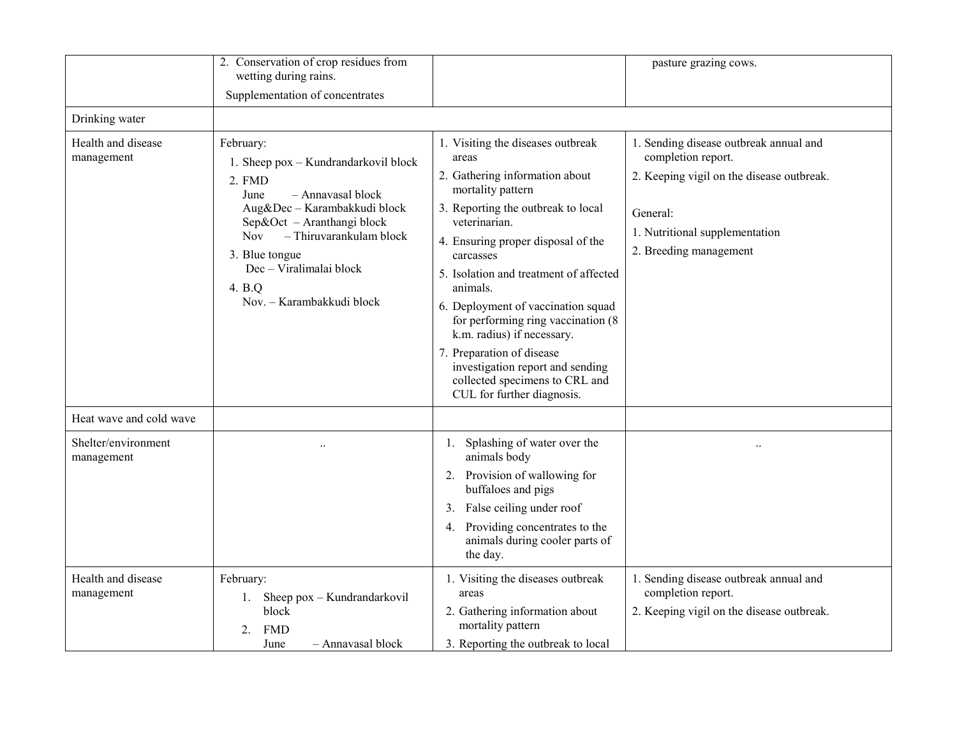|                                   | 2. Conservation of crop residues from<br>wetting during rains.<br>Supplementation of concentrates                                                                                                                                                                             |                                                                                                                                                                                                                                                                                                                                                                                                                                                                                                               | pasture grazing cows.                                                                                                                                                             |
|-----------------------------------|-------------------------------------------------------------------------------------------------------------------------------------------------------------------------------------------------------------------------------------------------------------------------------|---------------------------------------------------------------------------------------------------------------------------------------------------------------------------------------------------------------------------------------------------------------------------------------------------------------------------------------------------------------------------------------------------------------------------------------------------------------------------------------------------------------|-----------------------------------------------------------------------------------------------------------------------------------------------------------------------------------|
| Drinking water                    |                                                                                                                                                                                                                                                                               |                                                                                                                                                                                                                                                                                                                                                                                                                                                                                                               |                                                                                                                                                                                   |
| Health and disease<br>management  | February:<br>1. Sheep pox – Kundrandarkovil block<br>2. FMD<br>- Annavasal block<br>June<br>Aug&Dec - Karambakkudi block<br>Sep&Oct - Aranthangi block<br>- Thiruvarankulam block<br>Nov.<br>3. Blue tongue<br>Dec - Viralimalai block<br>4. B.O<br>Nov. - Karambakkudi block | 1. Visiting the diseases outbreak<br>areas<br>2. Gathering information about<br>mortality pattern<br>3. Reporting the outbreak to local<br>veterinarian.<br>4. Ensuring proper disposal of the<br>carcasses<br>5. Isolation and treatment of affected<br>animals.<br>6. Deployment of vaccination squad<br>for performing ring vaccination (8)<br>k.m. radius) if necessary.<br>7. Preparation of disease<br>investigation report and sending<br>collected specimens to CRL and<br>CUL for further diagnosis. | 1. Sending disease outbreak annual and<br>completion report.<br>2. Keeping vigil on the disease outbreak.<br>General:<br>1. Nutritional supplementation<br>2. Breeding management |
| Heat wave and cold wave           |                                                                                                                                                                                                                                                                               |                                                                                                                                                                                                                                                                                                                                                                                                                                                                                                               |                                                                                                                                                                                   |
| Shelter/environment<br>management |                                                                                                                                                                                                                                                                               | Splashing of water over the<br>1.<br>animals body<br>2. Provision of wallowing for<br>buffaloes and pigs<br>3. False ceiling under roof<br>4. Providing concentrates to the<br>animals during cooler parts of<br>the day.                                                                                                                                                                                                                                                                                     |                                                                                                                                                                                   |
| Health and disease<br>management  | February:<br>1. Sheep pox – Kundrandarkovil<br>block<br>2.<br><b>FMD</b><br>- Annavasal block<br>June                                                                                                                                                                         | 1. Visiting the diseases outbreak<br>areas<br>2. Gathering information about<br>mortality pattern<br>3. Reporting the outbreak to local                                                                                                                                                                                                                                                                                                                                                                       | 1. Sending disease outbreak annual and<br>completion report.<br>2. Keeping vigil on the disease outbreak.                                                                         |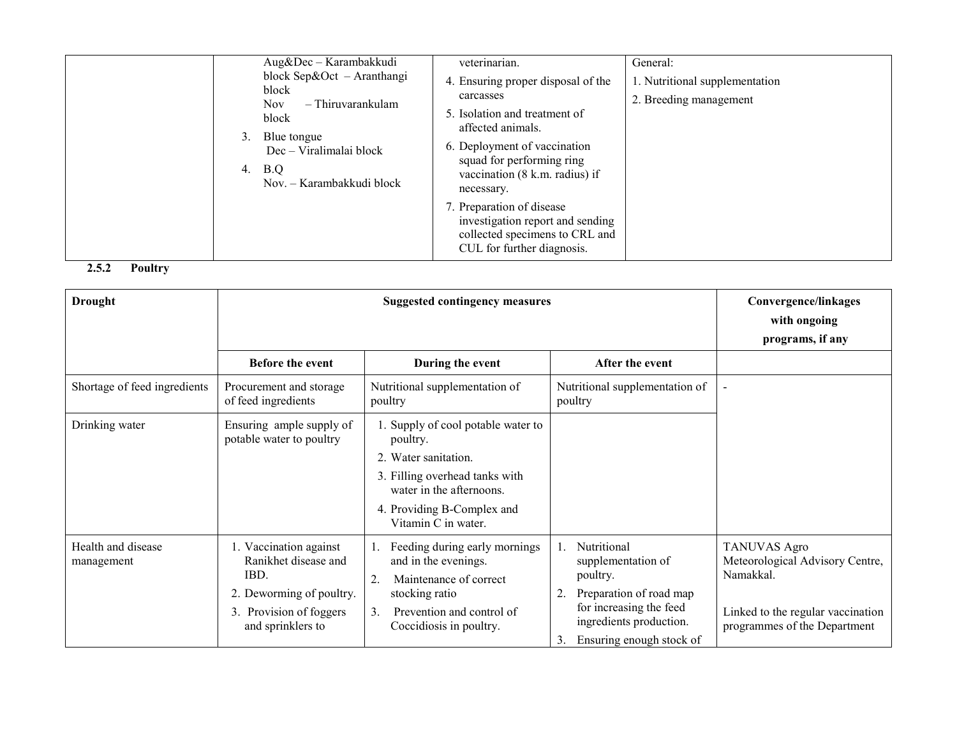| Aug&Dec - Karambakkudi<br>block Sep $&Oct$ – Aranthangi<br>block<br>- Thiruvarankulam<br><b>Nov</b><br>block<br>Blue tongue<br>Dec – Viralimalai block<br>B.Q<br>4.<br>Nov. – Karambakkudi block | veterinarian.<br>4. Ensuring proper disposal of the<br>carcasses<br>5. Isolation and treatment of<br>affected animals.<br>6. Deployment of vaccination<br>squad for performing ring<br>vaccination $(8 \text{ k.m.}$ radius) if<br>necessary. | General:<br>1. Nutritional supplementation<br>2. Breeding management |
|--------------------------------------------------------------------------------------------------------------------------------------------------------------------------------------------------|-----------------------------------------------------------------------------------------------------------------------------------------------------------------------------------------------------------------------------------------------|----------------------------------------------------------------------|
|                                                                                                                                                                                                  | 7. Preparation of disease<br>investigation report and sending<br>collected specimens to CRL and<br>CUL for further diagnosis.                                                                                                                 |                                                                      |



| <b>Drought</b>                   | <b>Suggested contingency measures</b>                                 |                                                                                       |                                                                                                           | Convergence/linkages<br>with ongoing                                |
|----------------------------------|-----------------------------------------------------------------------|---------------------------------------------------------------------------------------|-----------------------------------------------------------------------------------------------------------|---------------------------------------------------------------------|
|                                  |                                                                       |                                                                                       |                                                                                                           | programs, if any                                                    |
|                                  | Before the event                                                      | During the event                                                                      | After the event                                                                                           |                                                                     |
| Shortage of feed ingredients     | Procurement and storage<br>of feed ingredients                        | Nutritional supplementation of<br>poultry                                             | Nutritional supplementation of<br>poultry                                                                 |                                                                     |
| Drinking water                   | Ensuring ample supply of<br>potable water to poultry                  | . Supply of cool potable water to<br>poultry.                                         |                                                                                                           |                                                                     |
|                                  |                                                                       | 2. Water sanitation.                                                                  |                                                                                                           |                                                                     |
|                                  |                                                                       | 3. Filling overhead tanks with<br>water in the afternoons.                            |                                                                                                           |                                                                     |
|                                  |                                                                       | 4. Providing B-Complex and<br>Vitamin C in water.                                     |                                                                                                           |                                                                     |
| Health and disease<br>management | 1. Vaccination against<br>Ranikhet disease and<br>IBD.                | Feeding during early mornings<br>and in the evenings.<br>Maintenance of correct<br>2. | Nutritional<br>supplementation of<br>poultry.                                                             | <b>TANUVAS Agro</b><br>Meteorological Advisory Centre,<br>Namakkal. |
|                                  | 2. Deworming of poultry.<br>Provision of foggers<br>and sprinklers to | stocking ratio<br>Prevention and control of<br>3.<br>Coccidiosis in poultry.          | Preparation of road map<br>for increasing the feed<br>ingredients production.<br>Ensuring enough stock of | Linked to the regular vaccination<br>programmes of the Department   |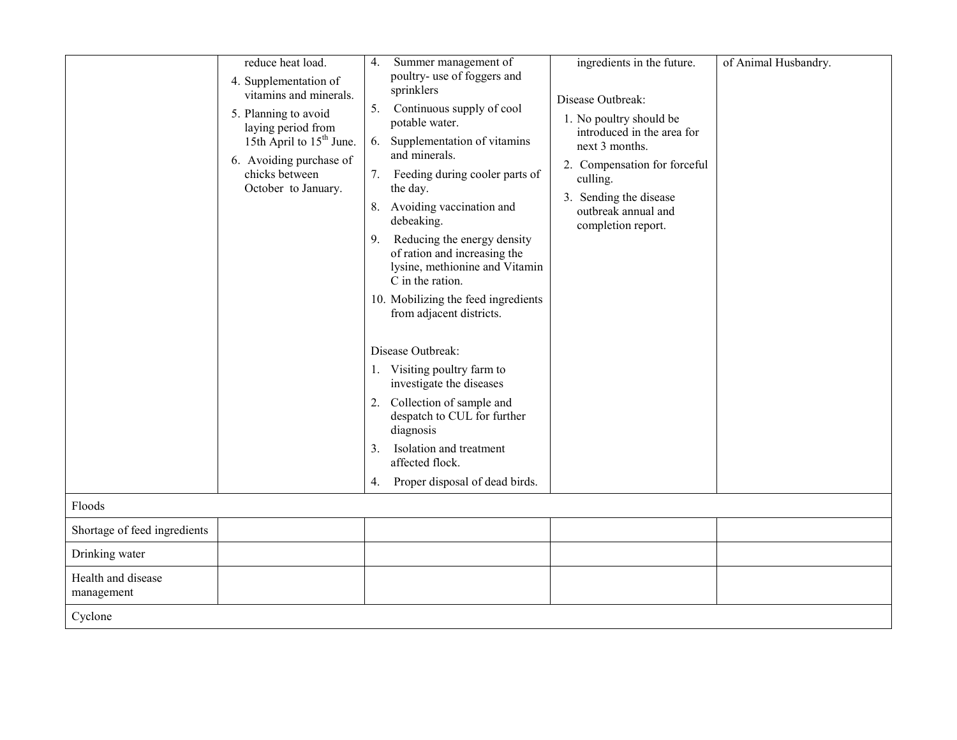|                                  | reduce heat load.                                                                                                                                                                                         | Summer management of<br>4.                                                                                                                                                                                                                                                                                                                                                                                                                                                                                                                                                                                                                                                                           | ingredients in the future.                                                                                                                                                                                      | of Animal Husbandry. |
|----------------------------------|-----------------------------------------------------------------------------------------------------------------------------------------------------------------------------------------------------------|------------------------------------------------------------------------------------------------------------------------------------------------------------------------------------------------------------------------------------------------------------------------------------------------------------------------------------------------------------------------------------------------------------------------------------------------------------------------------------------------------------------------------------------------------------------------------------------------------------------------------------------------------------------------------------------------------|-----------------------------------------------------------------------------------------------------------------------------------------------------------------------------------------------------------------|----------------------|
|                                  | 4. Supplementation of<br>vitamins and minerals.<br>5. Planning to avoid<br>laying period from<br>15th April to 15 <sup>th</sup> June.<br>6. Avoiding purchase of<br>chicks between<br>October to January. | poultry- use of foggers and<br>sprinklers<br>5.<br>Continuous supply of cool<br>potable water.<br>6. Supplementation of vitamins<br>and minerals.<br>7. Feeding during cooler parts of<br>the day.<br>8. Avoiding vaccination and<br>debeaking.<br>Reducing the energy density<br>9.<br>of ration and increasing the<br>lysine, methionine and Vitamin<br>C in the ration.<br>10. Mobilizing the feed ingredients<br>from adjacent districts.<br>Disease Outbreak:<br>1. Visiting poultry farm to<br>investigate the diseases<br>2. Collection of sample and<br>despatch to CUL for further<br>diagnosis<br>Isolation and treatment<br>3.<br>affected flock.<br>Proper disposal of dead birds.<br>4. | Disease Outbreak:<br>1. No poultry should be<br>introduced in the area for<br>next 3 months.<br>2. Compensation for forceful<br>culling.<br>3. Sending the disease<br>outbreak annual and<br>completion report. |                      |
| Floods                           |                                                                                                                                                                                                           |                                                                                                                                                                                                                                                                                                                                                                                                                                                                                                                                                                                                                                                                                                      |                                                                                                                                                                                                                 |                      |
| Shortage of feed ingredients     |                                                                                                                                                                                                           |                                                                                                                                                                                                                                                                                                                                                                                                                                                                                                                                                                                                                                                                                                      |                                                                                                                                                                                                                 |                      |
| Drinking water                   |                                                                                                                                                                                                           |                                                                                                                                                                                                                                                                                                                                                                                                                                                                                                                                                                                                                                                                                                      |                                                                                                                                                                                                                 |                      |
| Health and disease<br>management |                                                                                                                                                                                                           |                                                                                                                                                                                                                                                                                                                                                                                                                                                                                                                                                                                                                                                                                                      |                                                                                                                                                                                                                 |                      |
| Cyclone                          |                                                                                                                                                                                                           |                                                                                                                                                                                                                                                                                                                                                                                                                                                                                                                                                                                                                                                                                                      |                                                                                                                                                                                                                 |                      |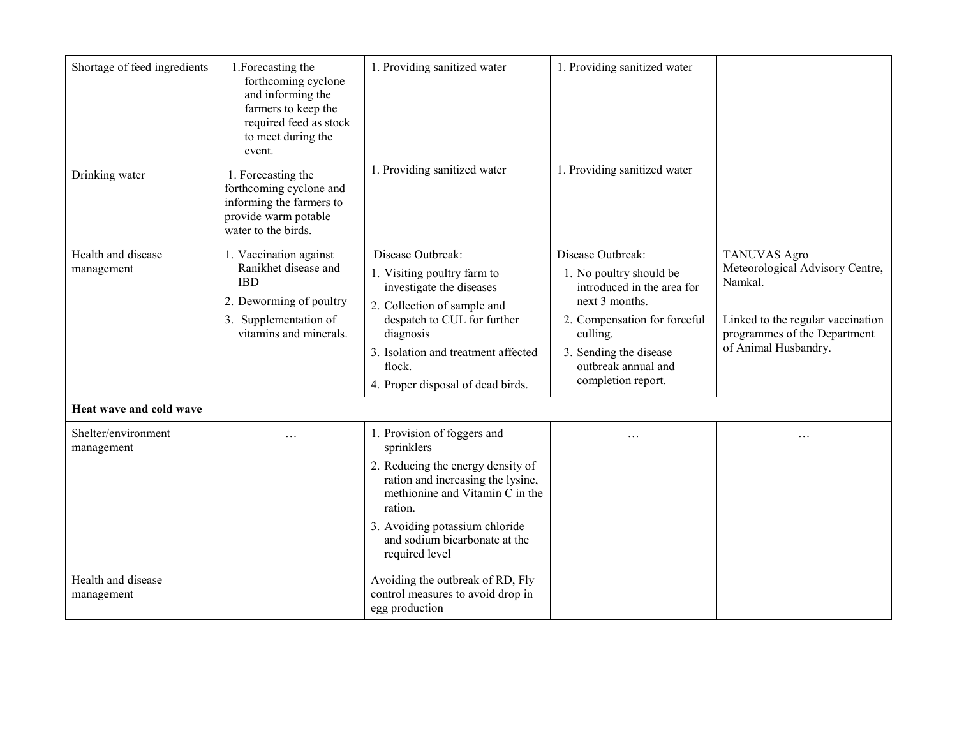| Shortage of feed ingredients                                | 1. Forecasting the<br>forthcoming cyclone<br>and informing the<br>farmers to keep the<br>required feed as stock<br>to meet during the<br>event. | 1. Providing sanitized water                                                                                                                                                                                                                           | 1. Providing sanitized water                                                                                                                                                                                    |                                                                                                                                                                |
|-------------------------------------------------------------|-------------------------------------------------------------------------------------------------------------------------------------------------|--------------------------------------------------------------------------------------------------------------------------------------------------------------------------------------------------------------------------------------------------------|-----------------------------------------------------------------------------------------------------------------------------------------------------------------------------------------------------------------|----------------------------------------------------------------------------------------------------------------------------------------------------------------|
| Drinking water                                              | 1. Forecasting the<br>forthcoming cyclone and<br>informing the farmers to<br>provide warm potable<br>water to the birds.                        | 1. Providing sanitized water                                                                                                                                                                                                                           | 1. Providing sanitized water                                                                                                                                                                                    |                                                                                                                                                                |
| Health and disease<br>management<br>Heat wave and cold wave | 1. Vaccination against<br>Ranikhet disease and<br><b>IBD</b><br>2. Deworming of poultry<br>3. Supplementation of<br>vitamins and minerals.      | Disease Outbreak:<br>1. Visiting poultry farm to<br>investigate the diseases<br>2. Collection of sample and<br>despatch to CUL for further<br>diagnosis<br>3. Isolation and treatment affected<br>flock.<br>4. Proper disposal of dead birds.          | Disease Outbreak:<br>1. No poultry should be<br>introduced in the area for<br>next 3 months.<br>2. Compensation for forceful<br>culling.<br>3. Sending the disease<br>outbreak annual and<br>completion report. | <b>TANUVAS Agro</b><br>Meteorological Advisory Centre,<br>Namkal.<br>Linked to the regular vaccination<br>programmes of the Department<br>of Animal Husbandry. |
| Shelter/environment<br>management                           | $\sim$ $\sim$                                                                                                                                   | 1. Provision of foggers and<br>sprinklers<br>2. Reducing the energy density of<br>ration and increasing the lysine,<br>methionine and Vitamin C in the<br>ration.<br>3. Avoiding potassium chloride<br>and sodium bicarbonate at the<br>required level | $\cdot$ $\cdot$                                                                                                                                                                                                 | $\sim$ $\sim$ $\sim$                                                                                                                                           |
| Health and disease<br>management                            |                                                                                                                                                 | Avoiding the outbreak of RD, Fly<br>control measures to avoid drop in<br>egg production                                                                                                                                                                |                                                                                                                                                                                                                 |                                                                                                                                                                |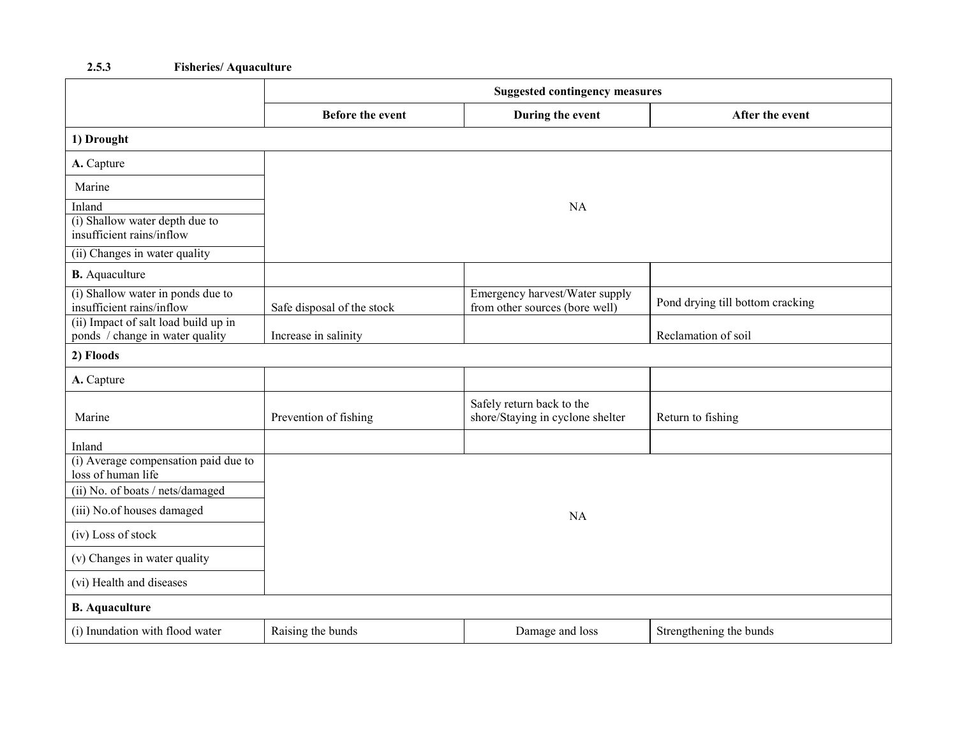#### 2.5.3Fisheries/ Aquaculture

|                                                                         | <b>Suggested contingency measures</b> |                                                                  |                                  |  |  |
|-------------------------------------------------------------------------|---------------------------------------|------------------------------------------------------------------|----------------------------------|--|--|
|                                                                         | <b>Before the event</b>               | During the event                                                 | After the event                  |  |  |
| 1) Drought                                                              |                                       |                                                                  |                                  |  |  |
| A. Capture                                                              |                                       |                                                                  |                                  |  |  |
| Marine                                                                  |                                       |                                                                  |                                  |  |  |
| Inland                                                                  |                                       | <b>NA</b>                                                        |                                  |  |  |
| (i) Shallow water depth due to<br>insufficient rains/inflow             |                                       |                                                                  |                                  |  |  |
| (ii) Changes in water quality                                           |                                       |                                                                  |                                  |  |  |
| <b>B.</b> Aquaculture                                                   |                                       |                                                                  |                                  |  |  |
| (i) Shallow water in ponds due to<br>insufficient rains/inflow          | Safe disposal of the stock            | Emergency harvest/Water supply<br>from other sources (bore well) | Pond drying till bottom cracking |  |  |
| (ii) Impact of salt load build up in<br>ponds / change in water quality | Increase in salinity                  |                                                                  | Reclamation of soil              |  |  |
| 2) Floods                                                               |                                       |                                                                  |                                  |  |  |
| A. Capture                                                              |                                       |                                                                  |                                  |  |  |
| Marine                                                                  | Prevention of fishing                 | Safely return back to the<br>shore/Staying in cyclone shelter    | Return to fishing                |  |  |
| Inland                                                                  |                                       |                                                                  |                                  |  |  |
| (i) Average compensation paid due to<br>loss of human life              |                                       |                                                                  |                                  |  |  |
| (ii) No. of boats / nets/damaged                                        |                                       |                                                                  |                                  |  |  |
| (iii) No.of houses damaged                                              |                                       | <b>NA</b>                                                        |                                  |  |  |
| (iv) Loss of stock                                                      |                                       |                                                                  |                                  |  |  |
| (v) Changes in water quality                                            |                                       |                                                                  |                                  |  |  |
| (vi) Health and diseases                                                |                                       |                                                                  |                                  |  |  |
| <b>B.</b> Aquaculture                                                   |                                       |                                                                  |                                  |  |  |
| (i) Inundation with flood water                                         | Raising the bunds                     | Damage and loss                                                  | Strengthening the bunds          |  |  |